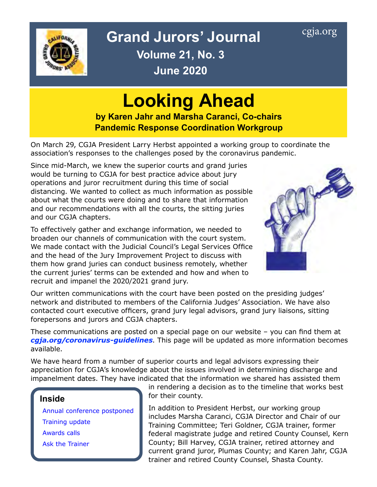<span id="page-0-0"></span>

### Grand Jurors' Journal [cgja.org](http://cgja.org) **Volume 21, No. 3 June 2020**

# **Looking Ahead**

**by Karen Jahr and Marsha Caranci, Co-chairs Pandemic Response Coordination Workgroup**

On March 29, CGJA President Larry Herbst appointed a working group to coordinate the association's responses to the challenges posed by the coronavirus pandemic.

Since mid-March, we knew the superior courts and grand juries would be turning to CGJA for best practice advice about jury operations and juror recruitment during this time of social distancing. We wanted to collect as much information as possible about what the courts were doing and to share that information and our recommendations with all the courts, the sitting juries and our CGJA chapters.

To effectively gather and exchange information, we needed to broaden our channels of communication with the court system. We made contact with the Judicial Council's Legal Services Office and the head of the Jury Improvement Project to discuss with them how grand juries can conduct business remotely, whether the current juries' terms can be extended and how and when to recruit and impanel the 2020/2021 grand jury.



Our written communications with the court have been posted on the presiding judges' network and distributed to members of the California Judges' Association. We have also contacted court executive officers, grand jury legal advisors, grand jury liaisons, sitting forepersons and jurors and CGJA chapters.

These communications are posted on a special page on our website – you can find them at *[cgja.org/coronavirus-guidelines](http://cgja.org/coronavirus-guidelines)*. This page will be updated as more information becomes available.

We have heard from a number of superior courts and legal advisors expressing their appreciation for CGJA's knowledge about the issues involved in determining discharge and impanelment dates. They have indicated that the information we shared has assisted them

#### **Inside**

Annual [conference](#page-1-0) postponed [Training update](#page-2-0) [Awards](#page-3-0) calls [Ask the](#page-4-0) Trainer

in rendering a decision as to the timeline that works best for their county.

In addition to President Herbst, our working group includes Marsha Caranci, CGJA Director and Chair of our Training Committee; Teri Goldner, CGJA trainer, former federal magistrate judge and retired County Counsel, Kern County; Bill Harvey, CGJA trainer, retired attorney and current grand juror, Plumas County; and Karen Jahr, CGJA trainer and retired County Counsel, Shasta County.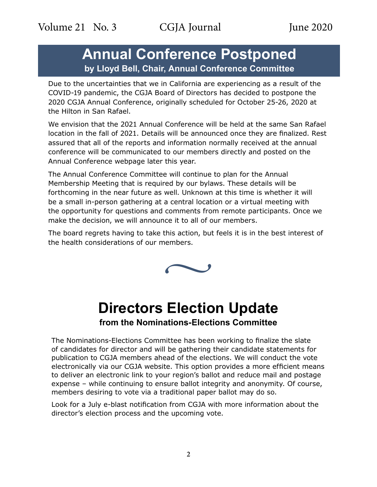<span id="page-1-0"></span>Volume 21 No. 3 CGJA Journal June 2020

### **Annual Conference Postponed by Lloyd Bell, Chair, Annual Conference Committee**

Due to the uncertainties that we in California are experiencing as a result of the COVID-19 pandemic, the CGJA Board of Directors has decided to postpone the 2020 CGJA Annual Conference, originally scheduled for October 25-26, 2020 at the Hilton in San Rafael.

We envision that the 2021 Annual Conference will be held at the same San Rafael location in the fall of 2021. Details will be announced once they are finalized. Rest assured that all of the reports and information normally received at the annual conference will be communicated to our members directly and posted on the Annual Conference webpage later this year.

The Annual Conference Committee will continue to plan for the Annual Membership Meeting that is required by our bylaws. These details will be forthcoming in the near future as well. Unknown at this time is whether it will be a small in-person gathering at a central location or a virtual meeting with the opportunity for questions and comments from remote participants. Once we make the decision, we will announce it to all of our members.

The board regrets having to take this action, but feels it is in the best interest of the health considerations of our members.



### **Directors Election Update from the Nominations-Elections Committee**

The Nominations-Elections Committee has been working to finalize the slate of candidates for director and will be gathering their candidate statements for publication to CGJA members ahead of the elections. We will conduct the vote electronically via our CGJA website. This option provides a more efficient means to deliver an electronic link to your region's ballot and reduce mail and postage expense – while continuing to ensure ballot integrity and anonymity. Of course, members desiring to vote via a traditional paper ballot may do so.

Look for a July e-blast notification from CGJA with more information about the director's election process and the upcoming vote.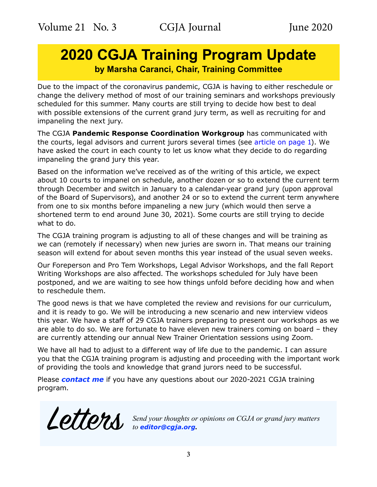### <span id="page-2-0"></span>**2020 CGJA Training Program Update by Marsha Caranci, Chair, Training Committee**

Due to the impact of the coronavirus pandemic, CGJA is having to either reschedule or change the delivery method of most of our training seminars and workshops previously scheduled for this summer. Many courts are still trying to decide how best to deal with possible extensions of the current grand jury term, as well as recruiting for and impaneling the next jury.

The CGJA **Pandemic Response Coordination Workgroup** has communicated with the courts, legal advisors and current jurors several times (see [article on page 1\)](#page-0-0). We have asked the court in each county to let us know what they decide to do regarding impaneling the grand jury this year.

Based on the information we've received as of the writing of this article, we expect about 10 courts to impanel on schedule, another dozen or so to extend the current term through December and switch in January to a calendar-year grand jury (upon approval of the Board of Supervisors), and another 24 or so to extend the current term anywhere from one to six months before impaneling a new jury (which would then serve a shortened term to end around June 30, 2021). Some courts are still trying to decide what to do.

The CGJA training program is adjusting to all of these changes and will be training as we can (remotely if necessary) when new juries are sworn in. That means our training season will extend for about seven months this year instead of the usual seven weeks.

Our Foreperson and Pro Tem Workshops, Legal Advisor Workshops, and the fall Report Writing Workshops are also affected. The workshops scheduled for July have been postponed, and we are waiting to see how things unfold before deciding how and when to reschedule them.

The good news is that we have completed the review and revisions for our curriculum, and it is ready to go. We will be introducing a new scenario and new interview videos this year. We have a staff of 29 CGJA trainers preparing to present our workshops as we are able to do so. We are fortunate to have eleven new trainers coming on board – they are currently attending our annual New Trainer Orientation sessions using Zoom.

We have all had to adjust to a different way of life due to the pandemic. I can assure you that the CGJA training program is adjusting and proceeding with the important work of providing the tools and knowledge that grand jurors need to be successful.

Please *[contact me](mailto:cgjatraining%40cgja.org?subject=CGJA%20Training)* if you have any questions about our 2020-2021 CGJA training program.

Letters *Send your thoughts or opinions on CGJA or grand jury matters to [editor@cgja.org](mailto:editor%40cgja.org?subject=)***.**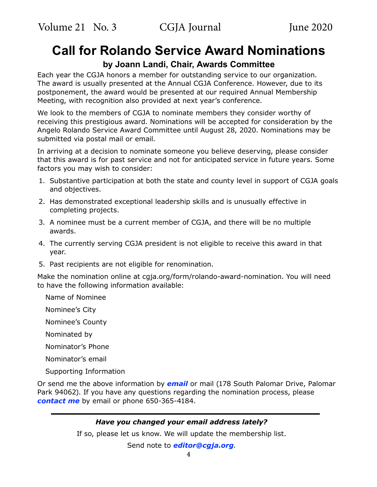### <span id="page-3-0"></span>**Call for Rolando Service Award Nominations**

### **by Joann Landi, Chair, Awards Committee**

Each year the CGJA honors a member for outstanding service to our organization. The award is usually presented at the Annual CGJA Conference. However, due to its postponement, the award would be presented at our required Annual Membership Meeting, with recognition also provided at next year's conference.

We look to the members of CGJA to nominate members they consider worthy of receiving this prestigious award. Nominations will be accepted for consideration by the Angelo Rolando Service Award Committee until August 28, 2020. Nominations may be submitted via postal mail or email.

In arriving at a decision to nominate someone you believe deserving, please consider that this award is for past service and not for anticipated service in future years. Some factors you may wish to consider:

- 1. Substantive participation at both the state and county level in support of CGJA goals and objectives.
- 2. Has demonstrated exceptional leadership skills and is unusually effective in completing projects.
- 3. A nominee must be a current member of CGJA, and there will be no multiple awards.
- 4. The currently serving CGJA president is not eligible to receive this award in that year.
- 5. Past recipients are not eligible for renomination.

Make the nomination online at cgja.org/form/rolando-award-nomination. You will need to have the following information available:

Name of Nominee

Nominee's City

Nominee's County

Nominated by

Nominator's Phone

Nominator's email

Supporting Information

Or send me the above information by *[email](mailto:joannelandi%40aol.com?subject=CGJA%20Rolando%20Award)* or mail (178 South Palomar Drive, Palomar Park 94062). If you have any questions regarding the nomination process, please *[contact me](mailto:joannelandi%40aol.com?subject=CGJA%20Rolano%20Award)* by email or phone 650-365-4184.

#### *Have you changed your email address lately?*

If so, please let us know. We will update the membership list.

Send note to *[editor@cgja.org](mailto:editor%40cgja.org?subject=email%20address%20change)*.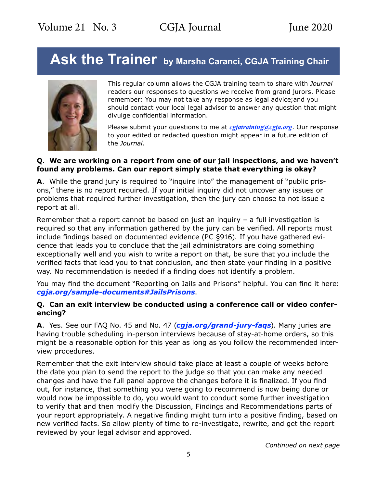## <span id="page-4-0"></span>Ask the Trainer by Marsha Caranci, CGJA Training Chair



This regular column allows the CGJA training team to share with *Journal* readers our responses to questions we receive from grand jurors. Please remember: You may not take any response as legal advice;and you should contact your local legal advisor to answer any question that might divulge confidential information.

Please submit your questions to me at *[cgjatraining@cgja.org](mailto:cgjatraining@cgja.org?SUBJECT=CGJA training)*. Our response to your edited or redacted question might appear in a future edition of the *Journal*.

#### **Q. We are working on a report from one of our jail inspections, and we haven't found any problems. Can our report simply state that everything is okay?**

**A**. While the grand jury is required to "inquire into" the management of "public prisons," there is no report required. If your initial inquiry did not uncover any issues or problems that required further investigation, then the jury can choose to not issue a report at all.

Remember that a report cannot be based on just an inquiry – a full investigation is required so that any information gathered by the jury can be verified. All reports must include findings based on documented evidence (PC §916). If you have gathered evidence that leads you to conclude that the jail administrators are doing something exceptionally well and you wish to write a report on that, be sure that you include the verified facts that lead you to that conclusion, and then state your finding in a positive way. No recommendation is needed if a finding does not identify a problem.

You may find the document "Reporting on Jails and Prisons" helpful. You can find it here: *[cgja.org/sample-documents#JailsPrisons](http://cgja.org/sample-documents#JailsPrisons)*.

#### **Q. Can an exit interview be conducted using a conference call or video conferencing?**

**A**. Yes. See our FAQ No. 45 and No. 47 (*[cgja.org/grand-jury-faqs](https://cgja.org/grand-jury-faqs)*). Many juries are having trouble scheduling in-person interviews because of stay-at-home orders, so this might be a reasonable option for this year as long as you follow the recommended interview procedures.

Remember that the exit interview should take place at least a couple of weeks before the date you plan to send the report to the judge so that you can make any needed changes and have the full panel approve the changes before it is finalized. If you find out, for instance, that something you were going to recommend is now being done or would now be impossible to do, you would want to conduct some further investigation to verify that and then modify the Discussion, Findings and Recommendations parts of your report appropriately. A negative finding might turn into a positive finding, based on new verified facts. So allow plenty of time to re-investigate, rewrite, and get the report reviewed by your legal advisor and approved.

*Continued on next page*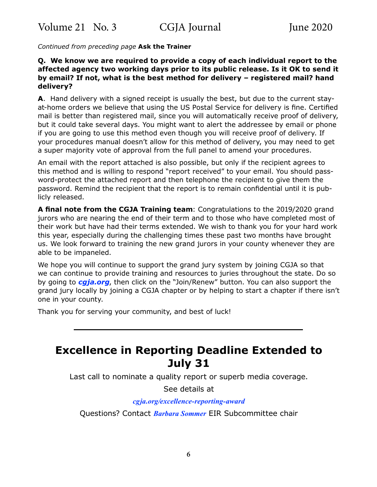*Continued from preceding page* **Ask the Trainer**

#### **Q. We know we are required to provide a copy of each individual report to the affected agency two working days prior to its public release. Is it OK to send it by email? If not, what is the best method for delivery – registered mail? hand delivery?**

**A**. Hand delivery with a signed receipt is usually the best, but due to the current stayat-home orders we believe that using the US Postal Service for delivery is fine. Certified mail is better than registered mail, since you will automatically receive proof of delivery, but it could take several days. You might want to alert the addressee by email or phone if you are going to use this method even though you will receive proof of delivery. If your procedures manual doesn't allow for this method of delivery, you may need to get a super majority vote of approval from the full panel to amend your procedures.

An email with the report attached is also possible, but only if the recipient agrees to this method and is willing to respond "report received" to your email. You should password-protect the attached report and then telephone the recipient to give them the password. Remind the recipient that the report is to remain confidential until it is publicly released.

**A final note from the CGJA Training team**: Congratulations to the 2019/2020 grand jurors who are nearing the end of their term and to those who have completed most of their work but have had their terms extended. We wish to thank you for your hard work this year, especially during the challenging times these past two months have brought us. We look forward to training the new grand jurors in your county whenever they are able to be impaneled.

We hope you will continue to support the grand jury system by joining CGJA so that we can continue to provide training and resources to juries throughout the state. Do so by going to *[cgja.org](http://www.cgja.org)*, then click on the "Join/Renew" button. You can also support the grand jury locally by joining a CGJA chapter or by helping to start a chapter if there isn't one in your county.

Thank you for serving your community, and best of luck!

### **Excellence in Reporting Deadline Extended to July 31**

Last call to nominate a quality report or superb media coverage.

See details at

#### *[cgja.org/excellence-reporting-award](http://cgja.org/excellence-reporting-award)*

Questions? Contact *[Barbara Sommer](mailto:basommer%40ucdavis.eu?subject=CGJA%20EIR%20query)* EIR Subcommittee chair